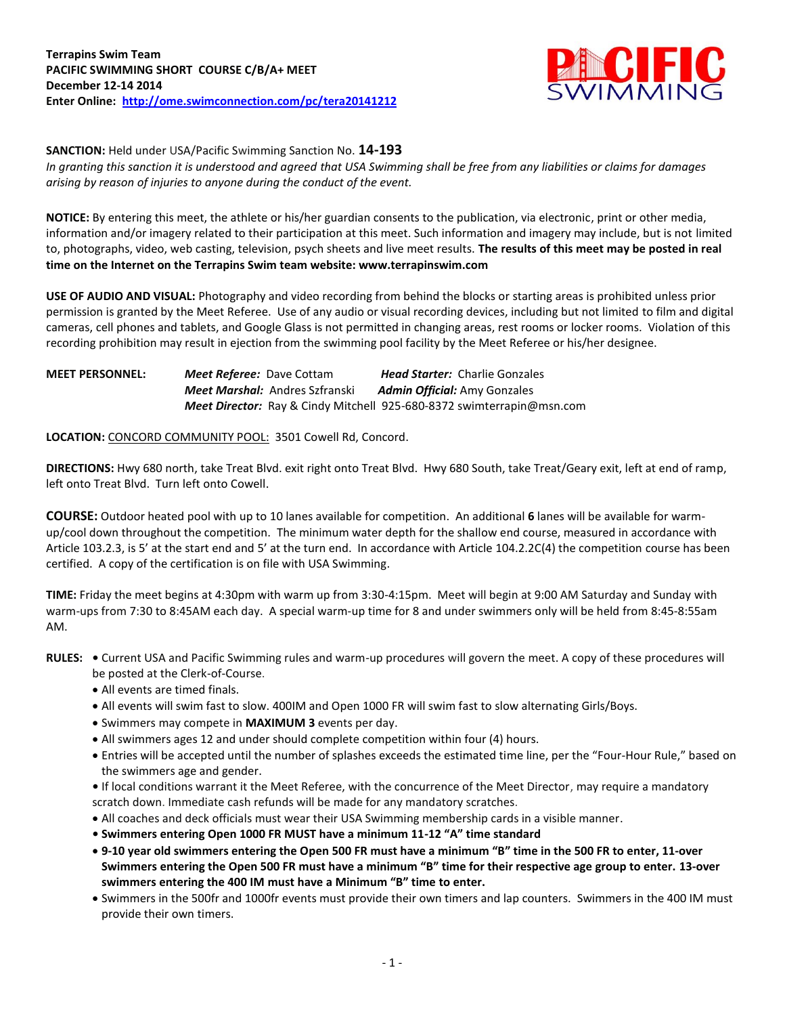

**SANCTION:** Held under USA/Pacific Swimming Sanction No. **14-193**

*In granting this sanction it is understood and agreed that USA Swimming shall be free from any liabilities or claims for damages arising by reason of injuries to anyone during the conduct of the event.*

**NOTICE:** By entering this meet, the athlete or his/her guardian consents to the publication, via electronic, print or other media, information and/or imagery related to their participation at this meet. Such information and imagery may include, but is not limited to, photographs, video, web casting, television, psych sheets and live meet results. **The results of this meet may be posted in real time on the Internet on the Terrapins Swim team website: www.terrapinswim.com**

**USE OF AUDIO AND VISUAL:** Photography and video recording from behind the blocks or starting areas is prohibited unless prior permission is granted by the Meet Referee. Use of any audio or visual recording devices, including but not limited to film and digital cameras, cell phones and tablets, and Google Glass is not permitted in changing areas, rest rooms or locker rooms. Violation of this recording prohibition may result in ejection from the swimming pool facility by the Meet Referee or his/her designee.

**MEET PERSONNEL:** *Meet Referee:* Dave Cottam*Head Starter:* Charlie Gonzales *Meet Marshal:* Andres Szfranski*Admin Official:* Amy Gonzales *Meet Director:* Ray & Cindy Mitchell 925-680-8372 swimterrapin@msn.com

**LOCATION:** CONCORD COMMUNITY POOL: 3501 Cowell Rd, Concord.

**DIRECTIONS:** Hwy 680 north, take Treat Blvd. exit right onto Treat Blvd. Hwy 680 South, take Treat/Geary exit, left at end of ramp, left onto Treat Blvd. Turn left onto Cowell.

**COURSE:** Outdoor heated pool with up to 10 lanes available for competition. An additional **6** lanes will be available for warmup/cool down throughout the competition. The minimum water depth for the shallow end course, measured in accordance with Article 103.2.3, is 5' at the start end and 5' at the turn end. In accordance with Article 104.2.2C(4) the competition course has been certified. A copy of the certification is on file with USA Swimming.

**TIME:** Friday the meet begins at 4:30pm with warm up from 3:30-4:15pm. Meet will begin at 9:00 AM Saturday and Sunday with warm-ups from 7:30 to 8:45AM each day. A special warm-up time for 8 and under swimmers only will be held from 8:45-8:55am AM.

- **RULES: •** Current USA and Pacific Swimming rules and warm-up procedures will govern the meet. A copy of these procedures will be posted at the Clerk-of-Course.
	- All events are timed finals.
	- All events will swim fast to slow. 400IM and Open 1000 FR will swim fast to slow alternating Girls/Boys.
	- Swimmers may compete in **MAXIMUM 3** events per day.
	- All swimmers ages 12 and under should complete competition within four (4) hours.
	- Entries will be accepted until the number of splashes exceeds the estimated time line, per the "Four-Hour Rule," based on the swimmers age and gender.

**•** If local conditions warrant it the Meet Referee, with the concurrence of the Meet Director, may require a mandatory scratch down. Immediate cash refunds will be made for any mandatory scratches.

- All coaches and deck officials must wear their USA Swimming membership cards in a visible manner.
- **Swimmers entering Open 1000 FR MUST have a minimum 11-12 "A" time standard**
- **9-10 year old swimmers entering the Open 500 FR must have a minimum "B" time in the 500 FR to enter, 11-over Swimmers entering the Open 500 FR must have a minimum "B" time for their respective age group to enter. 13-over swimmers entering the 400 IM must have a Minimum "B" time to enter.**
- Swimmers in the 500fr and 1000fr events must provide their own timers and lap counters. Swimmers in the 400 IM must provide their own timers.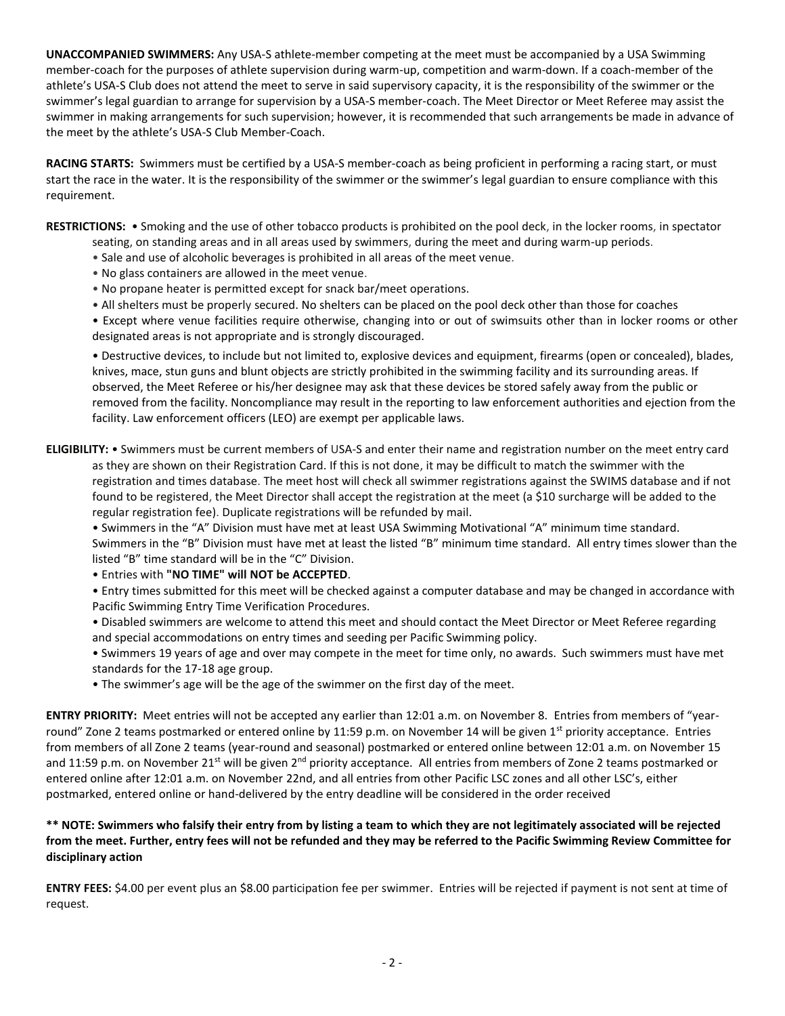**UNACCOMPANIED SWIMMERS:** Any USA-S athlete-member competing at the meet must be accompanied by a USA Swimming member-coach for the purposes of athlete supervision during warm-up, competition and warm-down. If a coach-member of the athlete's USA-S Club does not attend the meet to serve in said supervisory capacity, it is the responsibility of the swimmer or the swimmer's legal guardian to arrange for supervision by a USA-S member-coach. The Meet Director or Meet Referee may assist the swimmer in making arrangements for such supervision; however, it is recommended that such arrangements be made in advance of the meet by the athlete's USA-S Club Member-Coach.

**RACING STARTS:** Swimmers must be certified by a USA-S member-coach as being proficient in performing a racing start, or must start the race in the water. It is the responsibility of the swimmer or the swimmer's legal guardian to ensure compliance with this requirement.

**RESTRICTIONS:** • Smoking and the use of other tobacco products is prohibited on the pool deck, in the locker rooms, in spectator seating, on standing areas and in all areas used by swimmers, during the meet and during warm-up periods.

- Sale and use of alcoholic beverages is prohibited in all areas of the meet venue.
- No glass containers are allowed in the meet venue.
- No propane heater is permitted except for snack bar/meet operations.
- All shelters must be properly secured. No shelters can be placed on the pool deck other than those for coaches
- Except where venue facilities require otherwise, changing into or out of swimsuits other than in locker rooms or other designated areas is not appropriate and is strongly discouraged.

• Destructive devices, to include but not limited to, explosive devices and equipment, firearms (open or concealed), blades, knives, mace, stun guns and blunt objects are strictly prohibited in the swimming facility and its surrounding areas. If observed, the Meet Referee or his/her designee may ask that these devices be stored safely away from the public or removed from the facility. Noncompliance may result in the reporting to law enforcement authorities and ejection from the facility. Law enforcement officers (LEO) are exempt per applicable laws.

**ELIGIBILITY:** • Swimmers must be current members of USA-S and enter their name and registration number on the meet entry card as they are shown on their Registration Card. If this is not done, it may be difficult to match the swimmer with the registration and times database. The meet host will check all swimmer registrations against the SWIMS database and if not found to be registered, the Meet Director shall accept the registration at the meet (a \$10 surcharge will be added to the regular registration fee). Duplicate registrations will be refunded by mail.

• Swimmers in the "A" Division must have met at least USA Swimming Motivational "A" minimum time standard. Swimmers in the "B" Division must have met at least the listed "B" minimum time standard. All entry times slower than the listed "B" time standard will be in the "C" Division.

• Entries with **"NO TIME" will NOT be ACCEPTED**.

• Entry times submitted for this meet will be checked against a computer database and may be changed in accordance with Pacific Swimming Entry Time Verification Procedures.

- Disabled swimmers are welcome to attend this meet and should contact the Meet Director or Meet Referee regarding and special accommodations on entry times and seeding per Pacific Swimming policy.
- Swimmers 19 years of age and over may compete in the meet for time only, no awards. Such swimmers must have met standards for the 17-18 age group.
- The swimmer's age will be the age of the swimmer on the first day of the meet.

**ENTRY PRIORITY:** Meet entries will not be accepted any earlier than 12:01 a.m. on November 8. Entries from members of "yearround" Zone 2 teams postmarked or entered online by 11:59 p.m. on November 14 will be given  $1<sup>st</sup>$  priority acceptance. Entries from members of all Zone 2 teams (year-round and seasonal) postmarked or entered online between 12:01 a.m. on November 15 and 11:59 p.m. on November 21<sup>st</sup> will be given 2<sup>nd</sup> priority acceptance. All entries from members of Zone 2 teams postmarked or entered online after 12:01 a.m. on November 22nd, and all entries from other Pacific LSC zones and all other LSC's, either postmarked, entered online or hand-delivered by the entry deadline will be considered in the order received

## **\*\* NOTE: Swimmers who falsify their entry from by listing a team to which they are not legitimately associated will be rejected from the meet. Further, entry fees will not be refunded and they may be referred to the Pacific Swimming Review Committee for disciplinary action**

**ENTRY FEES:** \$4.00 per event plus an \$8.00 participation fee per swimmer. Entries will be rejected if payment is not sent at time of request.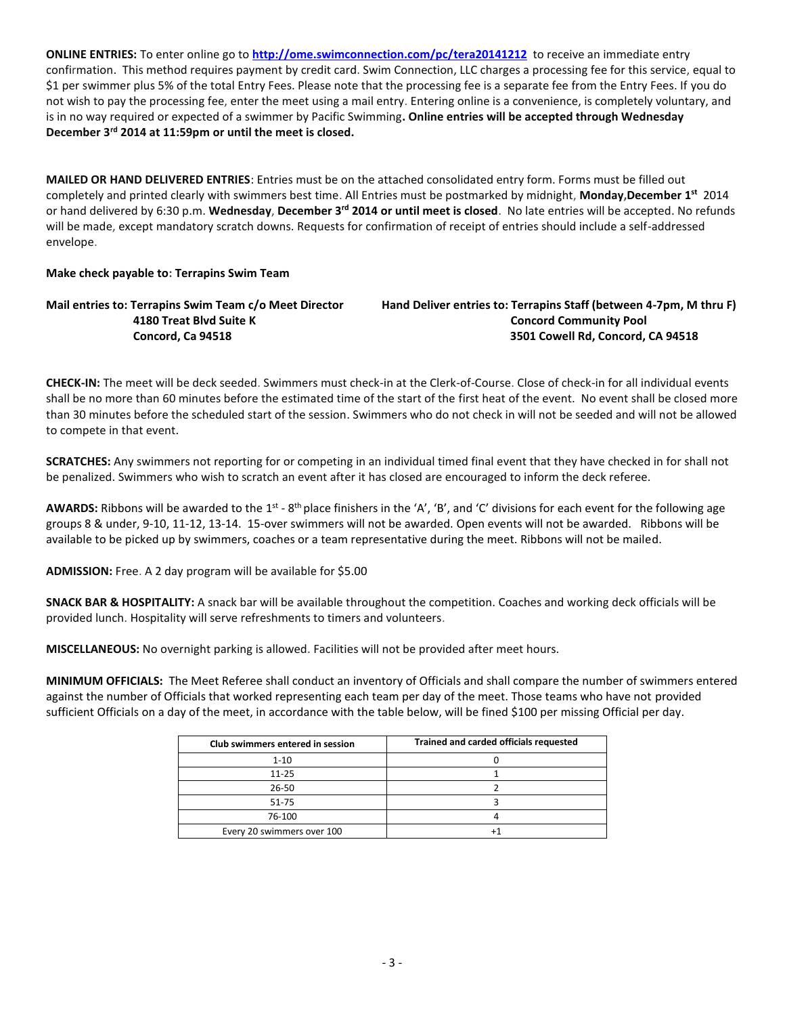**ONLINE ENTRIES:** To enter online go to **<http://ome.swimconnection.com/pc/tera20141212>** to receive an immediate entry confirmation. This method requires payment by credit card. Swim Connection, LLC charges a processing fee for this service, equal to \$1 per swimmer plus 5% of the total Entry Fees. Please note that the processing fee is a separate fee from the Entry Fees. If you do not wish to pay the processing fee, enter the meet using a mail entry. Entering online is a convenience, is completely voluntary, and is in no way required or expected of a swimmer by Pacific Swimming**. Online entries will be accepted through Wednesday December 3rd 2014 at 11:59pm or until the meet is closed.**

**MAILED OR HAND DELIVERED ENTRIES**: Entries must be on the attached consolidated entry form. Forms must be filled out completely and printed clearly with swimmers best time. All Entries must be postmarked by midnight, **Monday,December 1 st** 2014 or hand delivered by 6:30 p.m. **Wednesday**, **December 3rd 2014 or until meet is closed**. No late entries will be accepted. No refunds will be made, except mandatory scratch downs. Requests for confirmation of receipt of entries should include a self-addressed envelope.

## **Make check payable to: Terrapins Swim Team**

**Mail entries to: Terrapins Swim Team c/o Meet Director Hand Deliver entries to: Terrapins Staff (between 4-7pm, M thru F) 4180 Treat Blvd Suite K Concord Community Pool Concord, Ca 94518 3501 Cowell Rd, Concord, CA 94518**

**CHECK-IN:** The meet will be deck seeded. Swimmers must check-in at the Clerk-of-Course. Close of check-in for all individual events shall be no more than 60 minutes before the estimated time of the start of the first heat of the event. No event shall be closed more than 30 minutes before the scheduled start of the session. Swimmers who do not check in will not be seeded and will not be allowed to compete in that event.

**SCRATCHES:** Any swimmers not reporting for or competing in an individual timed final event that they have checked in for shall not be penalized. Swimmers who wish to scratch an event after it has closed are encouraged to inform the deck referee.

AWARDS: Ribbons will be awarded to the 1<sup>st</sup> - 8<sup>th</sup> place finishers in the 'A', 'B', and 'C' divisions for each event for the following age groups 8 & under, 9-10, 11-12, 13-14. 15-over swimmers will not be awarded. Open events will not be awarded. Ribbons will be available to be picked up by swimmers, coaches or a team representative during the meet. Ribbons will not be mailed.

**ADMISSION:** Free. A 2 day program will be available for \$5.00

**SNACK BAR & HOSPITALITY:** A snack bar will be available throughout the competition. Coaches and working deck officials will be provided lunch. Hospitality will serve refreshments to timers and volunteers.

**MISCELLANEOUS:** No overnight parking is allowed. Facilities will not be provided after meet hours.

**MINIMUM OFFICIALS:** The Meet Referee shall conduct an inventory of Officials and shall compare the number of swimmers entered against the number of Officials that worked representing each team per day of the meet. Those teams who have not provided sufficient Officials on a day of the meet, in accordance with the table below, will be fined \$100 per missing Official per day.

| Club swimmers entered in session | Trained and carded officials requested |
|----------------------------------|----------------------------------------|
| $1 - 10$                         |                                        |
| $11 - 25$                        |                                        |
| 26-50                            |                                        |
| 51-75                            |                                        |
| 76-100                           |                                        |
| Every 20 swimmers over 100       |                                        |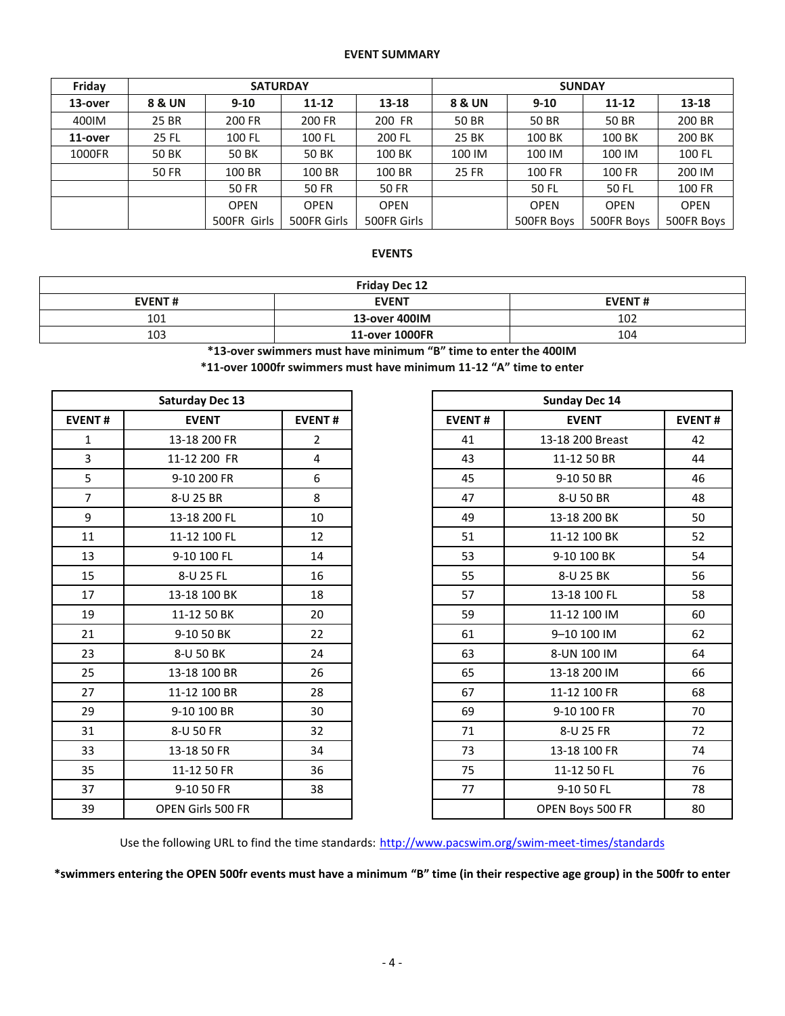## **EVENT SUMMARY**

| Friday  |                   | <b>SATURDAY</b> |             |             | <b>SUNDAY</b>     |             |                  |             |  |  |  |
|---------|-------------------|-----------------|-------------|-------------|-------------------|-------------|------------------|-------------|--|--|--|
| 13-over | <b>8 &amp; UN</b> | $9 - 10$        | $11 - 12$   | 13-18       | <b>8 &amp; UN</b> | $9-10$      | $11 - 12$        | 13-18       |  |  |  |
| 400IM   | 25 BR             | 200 FR          | 200 FR      | 200 FR      | 50 BR             | 50 BR       | 50 BR            | 200 BR      |  |  |  |
| 11-over | 25 FL             | 100 FL          | 100 FL      | 200 FL      | 25 BK             |             | 100 BK<br>100 BK |             |  |  |  |
| 1000FR  | 50 BK             | 50 BK           | 50 BK       | 100 BK      | 100 IM            | 100 IM      | 100 IM           | 100 FL      |  |  |  |
|         | 50 FR             | 100 BR          | 100 BR      | 100 BR      | 25 FR             | 100 FR      | 100 FR           | 200 IM      |  |  |  |
|         |                   | <b>50 FR</b>    | 50 FR       | 50 FR       |                   | 50 FL       | 50 FL            | 100 FR      |  |  |  |
|         |                   | <b>OPEN</b>     | <b>OPEN</b> | <b>OPEN</b> |                   | <b>OPEN</b> | <b>OPEN</b>      | <b>OPEN</b> |  |  |  |
|         |                   | 500FR Girls     | 500FR Girls | 500FR Girls |                   | 500FR Boys  | 500FR Boys       | 500FR Boys  |  |  |  |

## **EVENTS**

| <b>Friday Dec 12</b> |                |               |  |  |  |  |  |
|----------------------|----------------|---------------|--|--|--|--|--|
| <b>EVENT#</b>        | <b>EVENT</b>   | <b>EVENT#</b> |  |  |  |  |  |
| 101                  | 13-over 400IM  | 102           |  |  |  |  |  |
| 103                  | 11-over 1000FR | 104           |  |  |  |  |  |

**\*13-over swimmers must have minimum "B" time to enter the 400IM**

**\*11-over 1000fr swimmers must have minimum 11-12 "A" time to enter**

| <b>Saturday Dec 13</b> |                   |                |  |
|------------------------|-------------------|----------------|--|
| <b>EVENT#</b>          | <b>EVENT</b>      | <b>EVENT#</b>  |  |
| $\mathbf{1}$           | 13-18 200 FR      | $\overline{2}$ |  |
| 3                      | 11-12 200 FR      | 4              |  |
| 5                      | 9-10 200 FR       | 6              |  |
| $\overline{7}$         | 8-U 25 BR         | 8              |  |
| 9                      | 13-18 200 FL      | 10             |  |
| 11                     | 11-12 100 FL      | 12             |  |
| 13                     | 9-10 100 FL       | 14             |  |
| 15                     | 8-U 25 FL         | 16             |  |
| 17                     | 13-18 100 BK      | 18             |  |
| 19                     | 11-12 50 BK       | 20             |  |
| 21                     | 9-10 50 BK        | 22             |  |
| 23                     | 8-U 50 BK         | 24             |  |
| 25                     | 13-18 100 BR      | 26             |  |
| 27                     | 11-12 100 BR      | 28             |  |
| 29                     | 9-10 100 BR       | 30             |  |
| 31                     | 8-U 50 FR         | 32             |  |
| 33                     | 13-18 50 FR       | 34             |  |
| 35                     | 11-12 50 FR       | 36             |  |
| 37                     | 9-10 50 FR        | 38             |  |
| 39                     | OPEN Girls 500 FR |                |  |

|                | <b>Saturday Dec 13</b> |                |
|----------------|------------------------|----------------|
| <b>EVENT#</b>  | <b>EVENT</b>           | <b>EVENT#</b>  |
| $\mathbf{1}$   | 13-18 200 FR           | $\overline{2}$ |
| $\mathsf{3}$   | 11-12 200 FR           | 4              |
| 5              | 9-10 200 FR            | 6              |
| $\overline{7}$ | 8-U 25 BR              | 8              |
| 9              | 13-18 200 FL           | 10             |
| 11             | 11-12 100 FL           | 12             |
| 13             | 9-10 100 FL            | 14             |
| 15             | 8-U 25 FL              | 16             |
| 17             | 13-18 100 BK           | 18             |
| 19             | 11-12 50 BK            | 20             |
| 21             | 9-10 50 BK             | 22             |
| 23             | 8-U 50 BK              | 24             |
| 25             | 13-18 100 BR           | 26             |
| 27             | 11-12 100 BR           | 28             |
| 29             | 9-10 100 BR            | 30             |
| 31             | 8-U 50 FR              | 32             |
| 33             | 13-18 50 FR            | 34             |
| 35             | 11-12 50 FR            | 36             |
| 37             | 9-10 50 FR             | 38             |
| 39             | OPEN Girls 500 FR      |                |

Use the following URL to find the time standards: <http://www.pacswim.org/swim-meet-times/standards>

**\*swimmers entering the OPEN 500fr events must have a minimum "B" time (in their respective age group) in the 500fr to enter**